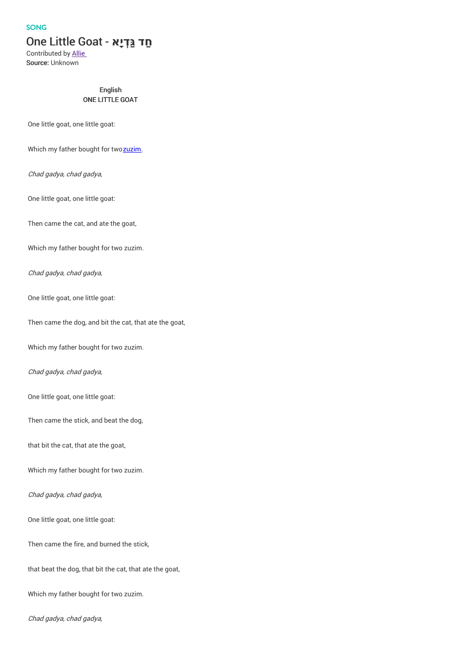## SONG

# **חַד גַּ ְדיָא** - Goat Little One

Contributed by Allie Source: Unknown

## English ONE LITTLE GOAT

One little goat, one little goat:

Which my father bought for tw[ozuzim](http://en.wikipedia.org/wiki/Zuz_(coin)).

Chad gadya, chad gadya,

One little goat, one little goat:

Then came the cat, and ate the goat,

Which my father bought for two zuzim.

Chad gadya, chad gadya,

One little goat, one little goat:

Then came the dog, and bit the cat, that ate the goat,

Which my father bought for two zuzim.

## Chad gadya, chad gadya,

One little goat, one little goat:

Then came the stick, and beat the dog,

that bit the cat, that ate the goat,

Which my father bought for two zuzim.

## Chad gadya, chad gadya,

One little goat, one little goat:

Then came the fire, and burned the stick,

that beat the dog, that bit the cat, that ate the goat,

Which my father bought for two zuzim.

Chad gadya, chad gadya,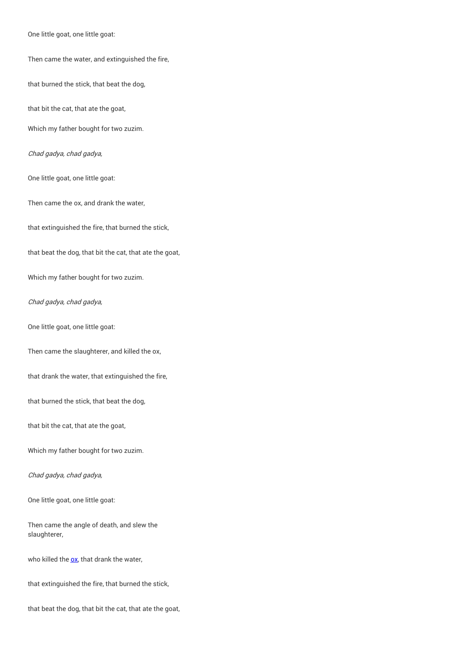One little goat, one little goat:

#### Then came the water, and extinguished the fire,

that burned the stick, that beat the dog,

that bit the cat, that ate the goat,

Which my father bought for two zuzim.

Chad gadya, chad gadya,

One little goat, one little goat:

Then came the ox, and drank the water,

that extinguished the fire, that burned the stick,

that beat the dog, that bit the cat, that ate the goat,

Which my father bought for two zuzim.

#### Chad gadya, chad gadya,

One little goat, one little goat:

Then came the slaughterer, and killed the ox,

that drank the water, that extinguished the fire,

that burned the stick, that beat the dog,

that bit the cat, that ate the goat,

Which my father bought for two zuzim.

Chad gadya, chad gadya,

One little goat, one little goat:

Then came the angle of death, and slew the slaughterer,

who killed the  $\underline{\text{ox}}$  $\underline{\text{ox}}$  $\underline{\text{ox}}$ , that drank the water,

that extinguished the fire, that burned the stick,

that beat the dog, that bit the cat, that ate the goat,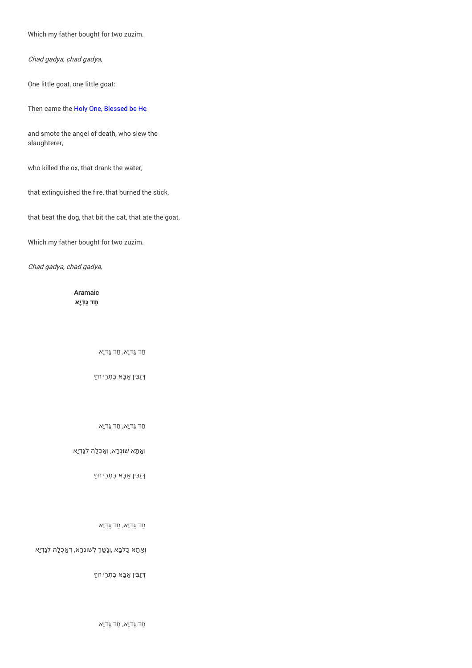Which my father bought for two zuzim.

Chad gadya, chad gadya,

One little goat, one little goat:

Then came the **Holy One, [Blessed](http://en.wikipedia.org/wiki/God) be He** 

and smote the angel of death, who slew the slaughterer,

who killed the ox, that drank the water,

that extinguished the fire, that burned the stick,

that beat the dog, that bit the cat, that ate the goat,

Which my father bought for two zuzim.

Chad gadya, chad gadya,

Aramaic **חַד גַּ ְדיָא**

ַחד גַּ ְדיָא, ַחד גַּ ְדיָא

ְדּזַבִּין ַאבָּא בִּתְרֵי זו ּזֵי

ַחד גַּ ְדיָא, ַחד גַּ ְדיָא

וְ אָתָא שׁוּנְרָא, וְאָכְלָה לְגַּדְיָא

ְדּזַבִּין ַאבָּא בִּתְרֵי זו ּזֵי

ַחד גַּ ְדיָא, ַחד גַּ ְדיָא

וְ וְנָשַׁךְ לְשוּנְרָא, דְאָכְלָה לְגַּדְיָא

ְדּזַבִּין ַאבָּא בִּתְרֵי זו ּזֵי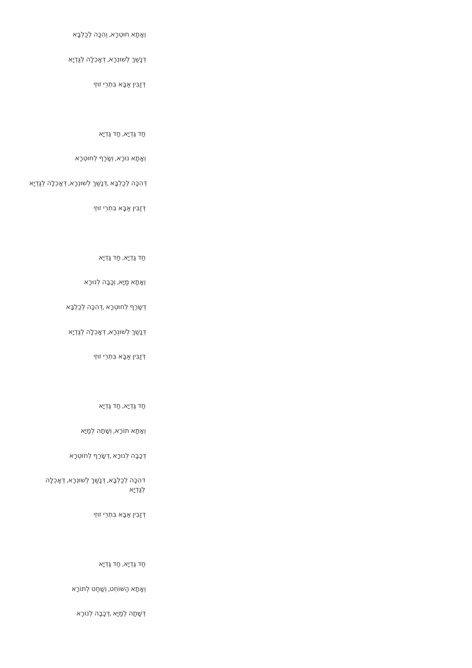| וְאָתָא חוּטְרָא, וְהִכָּה לְכַלְבָּא                           |
|-----------------------------------------------------------------|
| דְנָשַׁךְ לְשׁוּנְרָא, דְאָכְלָה לְגַדְיָא                      |
| דַזַבִּין אַבָּא בִּתְרֵי זוּזֵי                                |
|                                                                 |
| חַד גַּדְיָא, חַד גַּדְיָא                                      |
| וְאָתָא נוּרָא, וְשָׂרַף לְחוּטְרָא                             |
| דְהִכָּה לְכַלְבָּא ,דְנָשַׁךְ לְשׁוּנְרָא, דְאָכְלָה לְגַדְיָא |
| דְזַבִּין אַבָּא בִּתְרֵי זוּזֵי                                |
|                                                                 |
|                                                                 |

ַחד גַּ ְדיָא, ַחד גַּ ְדיָא

וְאֶתָא מַיָּא, וְכָבָה לְנוּרָא

ִדְשָׂרַף לְחוּטְרָא ,דְהִכָּה לְכַלְבָּא

ִדְנַשַׁךְ לְשׁוּנְרָא, דְאָכְלָה לְגַדְיָא

ְדּזַבִּין ַאבָּא בִּתְרֵי זו ּזֵי

ַחד גַּ ְדיָא, ַחד גַּ ְדיָא

וְאָתָא תוֹרָא, וְשָׁתָה לְמַיָּא

ִדְּכָבָה לְנוּרָא ,דְשָׂרַף לְחוּטְרָא

דהִכָּה לְכַלְבָּא, דְּנָשַׁךְ לְשׁוּנְרָא, דְּאָכְלָה לְגַּ ְדיָא

ְדּזַבִּין ַאבָּא בִּתְרֵי זו ּזֵי

ַחד גַּ ְדיָא, ַחד גַּ ְדיָא

וְאֶתָא הַשּׁוֹחֵט, וְשָׁחַט לְתוֹרָא

ְדּ ָׁשתָה לְ ַמיָּא , ְדּכָבָה לְנו ּרָא